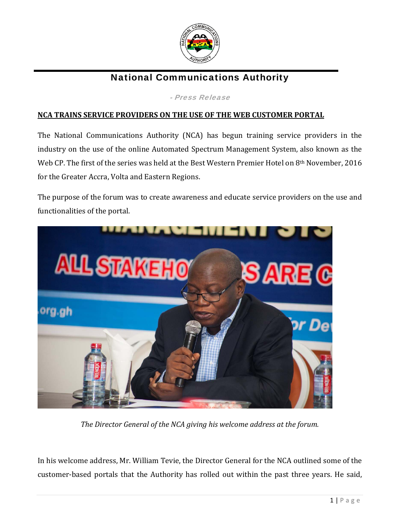

## National Communications Authority

- Press Release

## **NCA TRAINS SERVICE PROVIDERS ON THE USE OF THE WEB CUSTOMER PORTAL**

The National Communications Authority (NCA) has begun training service providers in the industry on the use of the online Automated Spectrum Management System, also known as the Web CP. The first of the series was held at the Best Western Premier Hotel on 8<sup>th</sup> November, 2016 for the Greater Accra, Volta and Eastern Regions.

The purpose of the forum was to create awareness and educate service providers on the use and functionalities of the portal.



*The Director General of the NCA giving his welcome address at the forum.*

In his welcome address, Mr. William Tevie, the Director General for the NCA outlined some of the customer-based portals that the Authority has rolled out within the past three years. He said,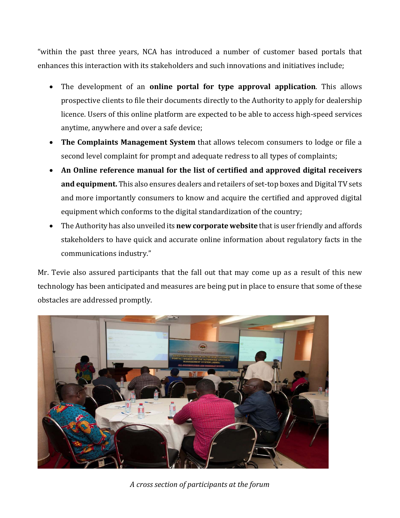"within the past three years, NCA has introduced a number of customer based portals that enhances this interaction with its stakeholders and such innovations and initiatives include;

- The development of an **online portal for type approval application**. This allows prospective clients to file their documents directly to the Authority to apply for dealership licence. Users of this online platform are expected to be able to access high-speed services anytime, anywhere and over a safe device;
- **The Complaints Management System** that allows telecom consumers to lodge or file a second level complaint for prompt and adequate redress to all types of complaints;
- **An Online reference manual for the list of certified and approved digital receivers and equipment.** This also ensures dealers and retailers of set-top boxes and Digital TV sets and more importantly consumers to know and acquire the certified and approved digital equipment which conforms to the digital standardization of the country;
- The Authority has also unveiled its **new corporate website** that is user friendly and affords stakeholders to have quick and accurate online information about regulatory facts in the communications industry."

Mr. Tevie also assured participants that the fall out that may come up as a result of this new technology has been anticipated and measures are being put in place to ensure that some of these obstacles are addressed promptly.



*A cross section of participants at the forum*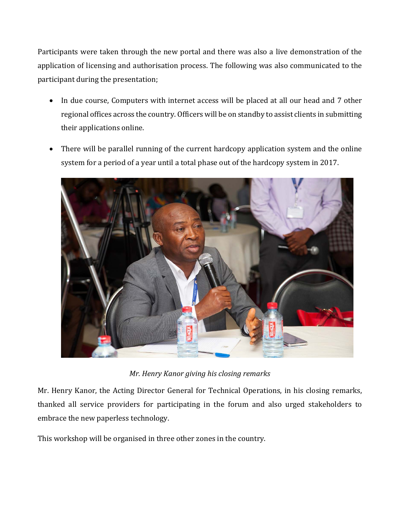Participants were taken through the new portal and there was also a live demonstration of the application of licensing and authorisation process. The following was also communicated to the participant during the presentation;

- In due course, Computers with internet access will be placed at all our head and 7 other regional offices across the country. Officers will be on standby to assist clients in submitting their applications online.
- There will be parallel running of the current hardcopy application system and the online system for a period of a year until a total phase out of the hardcopy system in 2017.



*Mr. Henry Kanor giving his closing remarks*

Mr. Henry Kanor, the Acting Director General for Technical Operations, in his closing remarks, thanked all service providers for participating in the forum and also urged stakeholders to embrace the new paperless technology.

This workshop will be organised in three other zones in the country.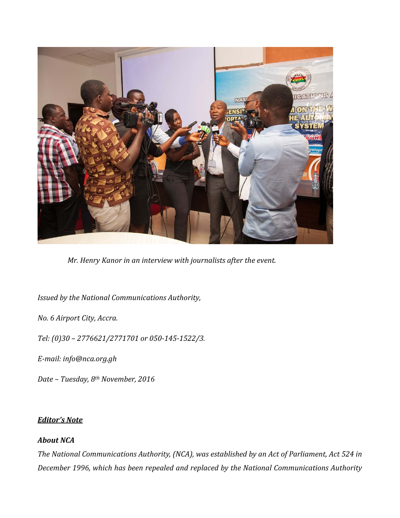

*Mr. Henry Kanor in an interview with journalists after the event.*

*Issued by the National Communications Authority,* 

*No. 6 Airport City, Accra.*

*Tel: (0)30 – 2776621/2771701 or 050‐145‐1522/3.*

*E‐mail: info@nca.org.gh*

*Date – Tuesday, 8th November, 2016*

## *Editor's Note*

## *About NCA*

*The National Communications Authority, (NCA), was established by an Act of Parliament, Act 524 in December 1996, which has been repealed and replaced by the National Communications Authority*